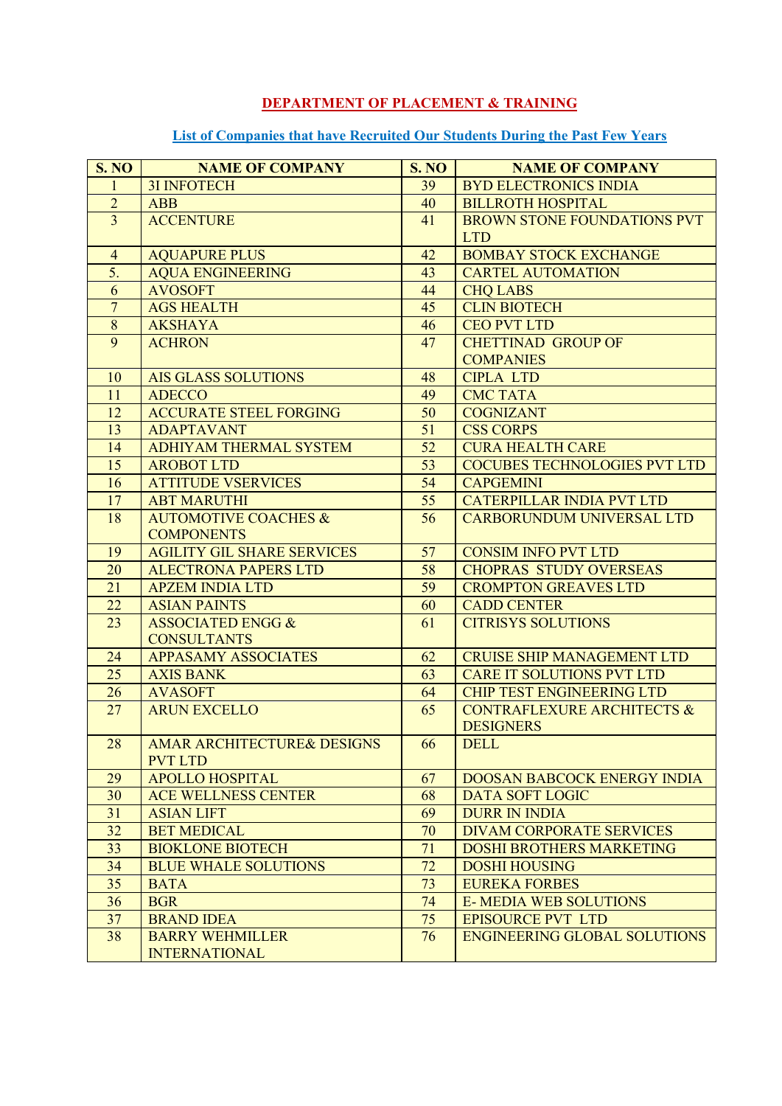## **DEPARTMENT OF PLACEMENT & TRAINING**

## **List of Companies that have Recruited Our Students During the Past Few Years**

| <b>S. NO</b>     | <b>NAME OF COMPANY</b>            | <b>S. NO</b> | <b>NAME OF COMPANY</b>                |
|------------------|-----------------------------------|--------------|---------------------------------------|
| 1                | <b>3I INFOTECH</b>                | 39           | <b>BYD ELECTRONICS INDIA</b>          |
| $\overline{2}$   | <b>ABB</b>                        | 40           | <b>BILLROTH HOSPITAL</b>              |
| $\overline{3}$   | <b>ACCENTURE</b>                  | 41           | <b>BROWN STONE FOUNDATIONS PVT</b>    |
|                  |                                   |              | <b>LTD</b>                            |
| $\overline{4}$   | <b>AQUAPURE PLUS</b>              | 42           | <b>BOMBAY STOCK EXCHANGE</b>          |
| 5.               | <b>AQUA ENGINEERING</b>           | 43           | <b>CARTEL AUTOMATION</b>              |
| 6                | <b>AVOSOFT</b>                    | 44           | <b>CHQ LABS</b>                       |
| $\overline{7}$   | <b>AGS HEALTH</b>                 | 45           | <b>CLIN BIOTECH</b>                   |
| $\boldsymbol{8}$ | <b>AKSHAYA</b>                    | 46           | <b>CEO PVT LTD</b>                    |
| $\overline{9}$   | <b>ACHRON</b>                     | 47           | <b>CHETTINAD GROUP OF</b>             |
|                  |                                   |              | <b>COMPANIES</b>                      |
| 10               | <b>AIS GLASS SOLUTIONS</b>        | 48           | <b>CIPLA LTD</b>                      |
| 11               | <b>ADECCO</b>                     | 49           | <b>CMC TATA</b>                       |
| 12               | <b>ACCURATE STEEL FORGING</b>     | 50           | <b>COGNIZANT</b>                      |
| 13               | <b>ADAPTAVANT</b>                 | 51           | <b>CSS CORPS</b>                      |
| 14               | ADHIYAM THERMAL SYSTEM            | 52           | <b>CURA HEALTH CARE</b>               |
| 15               | <b>AROBOT LTD</b>                 | 53           | <b>COCUBES TECHNOLOGIES PVT LTD</b>   |
| 16               | <b>ATTITUDE VSERVICES</b>         | 54           | <b>CAPGEMINI</b>                      |
| 17               | <b>ABT MARUTHI</b>                | 55           | <b>CATERPILLAR INDIA PVT LTD</b>      |
| 18               | <b>AUTOMOTIVE COACHES &amp;</b>   | 56           | <b>CARBORUNDUM UNIVERSAL LTD</b>      |
|                  | <b>COMPONENTS</b>                 |              |                                       |
| 19               | <b>AGILITY GIL SHARE SERVICES</b> | 57           | <b>CONSIM INFO PVT LTD</b>            |
| 20               | <b>ALECTRONA PAPERS LTD</b>       | 58           | <b>CHOPRAS STUDY OVERSEAS</b>         |
| 21               | <b>APZEM INDIA LTD</b>            | 59           | <b>CROMPTON GREAVES LTD</b>           |
| 22               | <b>ASIAN PAINTS</b>               | 60           | <b>CADD CENTER</b>                    |
| 23               | <b>ASSOCIATED ENGG &amp;</b>      | 61           | <b>CITRISYS SOLUTIONS</b>             |
|                  | <b>CONSULTANTS</b>                |              |                                       |
| 24               | <b>APPASAMY ASSOCIATES</b>        | 62           | <b>CRUISE SHIP MANAGEMENT LTD</b>     |
| 25               | <b>AXIS BANK</b>                  | 63           | <b>CARE IT SOLUTIONS PVT LTD</b>      |
| 26               | <b>AVASOFT</b>                    | 64           | <b>CHIP TEST ENGINEERING LTD</b>      |
| 27               | <b>ARUN EXCELLO</b>               | 65           | <b>CONTRAFLEXURE ARCHITECTS &amp;</b> |
|                  |                                   |              | <b>DESIGNERS</b>                      |
| 28               | AMAR ARCHITECTURE& DESIGNS        | 66           | <b>DELL</b>                           |
|                  | <b>PVT LTD</b>                    |              |                                       |
| 29               | <b>APOLLO HOSPITAL</b>            | 67           | <b>DOOSAN BABCOCK ENERGY INDIA</b>    |
| 30               | <b>ACE WELLNESS CENTER</b>        | 68           | <b>DATA SOFT LOGIC</b>                |
| 31               | <b>ASIAN LIFT</b>                 | 69           | <b>DURR IN INDIA</b>                  |
| 32               | <b>BET MEDICAL</b>                | 70           | DIVAM CORPORATE SERVICES              |
| 33               | <b>BIOKLONE BIOTECH</b>           | 71           | <b>DOSHI BROTHERS MARKETING</b>       |
| 34               | <b>BLUE WHALE SOLUTIONS</b>       | 72           | <b>DOSHI HOUSING</b>                  |
| 35               | <b>BATA</b>                       | 73           | <b>EUREKA FORBES</b>                  |
| 36               | <b>BGR</b>                        | 74           | <b>E-MEDIA WEB SOLUTIONS</b>          |
| 37               | <b>BRAND IDEA</b>                 | 75           | <b>EPISOURCE PVT LTD</b>              |
| 38               | <b>BARRY WEHMILLER</b>            | 76           | <b>ENGINEERING GLOBAL SOLUTIONS</b>   |
|                  | <b>INTERNATIONAL</b>              |              |                                       |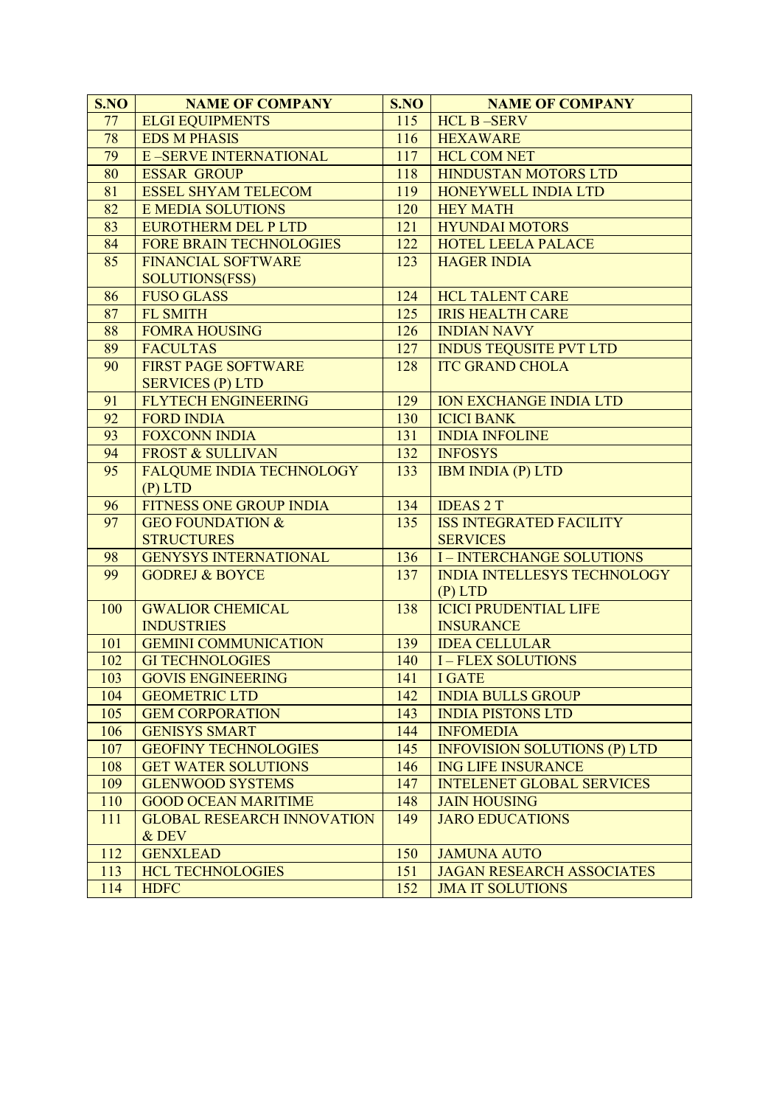| S.NO            | <b>NAME OF COMPANY</b>            | S.NO | <b>NAME OF COMPANY</b>              |
|-----------------|-----------------------------------|------|-------------------------------------|
| 77              | <b>ELGI EQUIPMENTS</b>            | 115  | <b>HCL B-SERV</b>                   |
| 78              | <b>EDS M PHASIS</b>               | 116  | <b>HEXAWARE</b>                     |
| 79              | <b>E-SERVE INTERNATIONAL</b>      | 117  | <b>HCL COM NET</b>                  |
| 80              | <b>ESSAR GROUP</b>                | 118  | HINDUSTAN MOTORS LTD                |
| 81              | <b>ESSEL SHYAM TELECOM</b>        | 119  | HONEYWELL INDIA LTD                 |
| $\overline{82}$ | <b>E MEDIA SOLUTIONS</b>          | 120  | <b>HEY MATH</b>                     |
| 83              | <b>EUROTHERM DEL P LTD</b>        | 121  | <b>HYUNDAI MOTORS</b>               |
| 84              | <b>FORE BRAIN TECHNOLOGIES</b>    | 122  | <b>HOTEL LEELA PALACE</b>           |
| 85              | <b>FINANCIAL SOFTWARE</b>         | 123  | <b>HAGER INDIA</b>                  |
|                 | <b>SOLUTIONS(FSS)</b>             |      |                                     |
| 86              | <b>FUSO GLASS</b>                 | 124  | <b>HCL TALENT CARE</b>              |
| 87              | FL SMITH                          | 125  | <b>IRIS HEALTH CARE</b>             |
| 88              | <b>FOMRA HOUSING</b>              | 126  | <b>INDIAN NAVY</b>                  |
| 89              | <b>FACULTAS</b>                   | 127  | <b>INDUS TEQUSITE PVT LTD</b>       |
| 90              | <b>FIRST PAGE SOFTWARE</b>        | 128  | <b>ITC GRAND CHOLA</b>              |
|                 | <b>SERVICES (P) LTD</b>           |      |                                     |
| 91              | <b>FLYTECH ENGINEERING</b>        | 129  | <b>ION EXCHANGE INDIA LTD</b>       |
| 92              | <b>FORD INDIA</b>                 | 130  | <b>ICICI BANK</b>                   |
| 93              | <b>FOXCONN INDIA</b>              | 131  | <b>INDIA INFOLINE</b>               |
| 94              | <b>FROST &amp; SULLIVAN</b>       | 132  | <b>INFOSYS</b>                      |
| 95              | <b>FALQUME INDIA TECHNOLOGY</b>   | 133  | <b>IBM INDIA (P) LTD</b>            |
|                 | $(P)$ LTD                         |      |                                     |
| 96              | <b>FITNESS ONE GROUP INDIA</b>    | 134  | <b>IDEAS 2 T</b>                    |
| 97              | <b>GEO FOUNDATION &amp;</b>       | 135  | <b>ISS INTEGRATED FACILITY</b>      |
|                 | <b>STRUCTURES</b>                 |      | <b>SERVICES</b>                     |
| 98              | <b>GENYSYS INTERNATIONAL</b>      | 136  | <b>I-INTERCHANGE SOLUTIONS</b>      |
| 99              | <b>GODREJ &amp; BOYCE</b>         | 137  | <b>INDIA INTELLESYS TECHNOLOGY</b>  |
|                 |                                   |      | $(P)$ LTD                           |
| 100             | <b>GWALIOR CHEMICAL</b>           | 138  | <b>ICICI PRUDENTIAL LIFE</b>        |
|                 | <b>INDUSTRIES</b>                 |      | <b>INSURANCE</b>                    |
| 101             | <b>GEMINI COMMUNICATION</b>       | 139  | <b>IDEA CELLULAR</b>                |
| 102             | <b>GI TECHNOLOGIES</b>            | 140  | <b>I-FLEX SOLUTIONS</b>             |
| 103             | <b>GOVIS ENGINEERING</b>          | 141  | <b>I GATE</b>                       |
| 104             | <b>GEOMETRIC LTD</b>              | 142  | <b>INDIA BULLS GROUP</b>            |
| 105             | <b>GEM CORPORATION</b>            | 143  | <b>INDIA PISTONS LTD</b>            |
| 106             | <b>GENISYS SMART</b>              | 144  | <b>INFOMEDIA</b>                    |
| 107             | <b>GEOFINY TECHNOLOGIES</b>       | 145  | <b>INFOVISION SOLUTIONS (P) LTD</b> |
| 108             | <b>GET WATER SOLUTIONS</b>        | 146  | <b>ING LIFE INSURANCE</b>           |
| 109             | <b>GLENWOOD SYSTEMS</b>           | 147  | <b>INTELENET GLOBAL SERVICES</b>    |
| 110             | <b>GOOD OCEAN MARITIME</b>        | 148  | <b>JAIN HOUSING</b>                 |
| 111             | <b>GLOBAL RESEARCH INNOVATION</b> | 149  | <b>JARO EDUCATIONS</b>              |
|                 | & DEV                             |      |                                     |
| 112             | <b>GENXLEAD</b>                   | 150  | <b>JAMUNA AUTO</b>                  |
| 113             | <b>HCL TECHNOLOGIES</b>           | 151  | <b>JAGAN RESEARCH ASSOCIATES</b>    |
| 114             | <b>HDFC</b>                       | 152  | <b>JMA IT SOLUTIONS</b>             |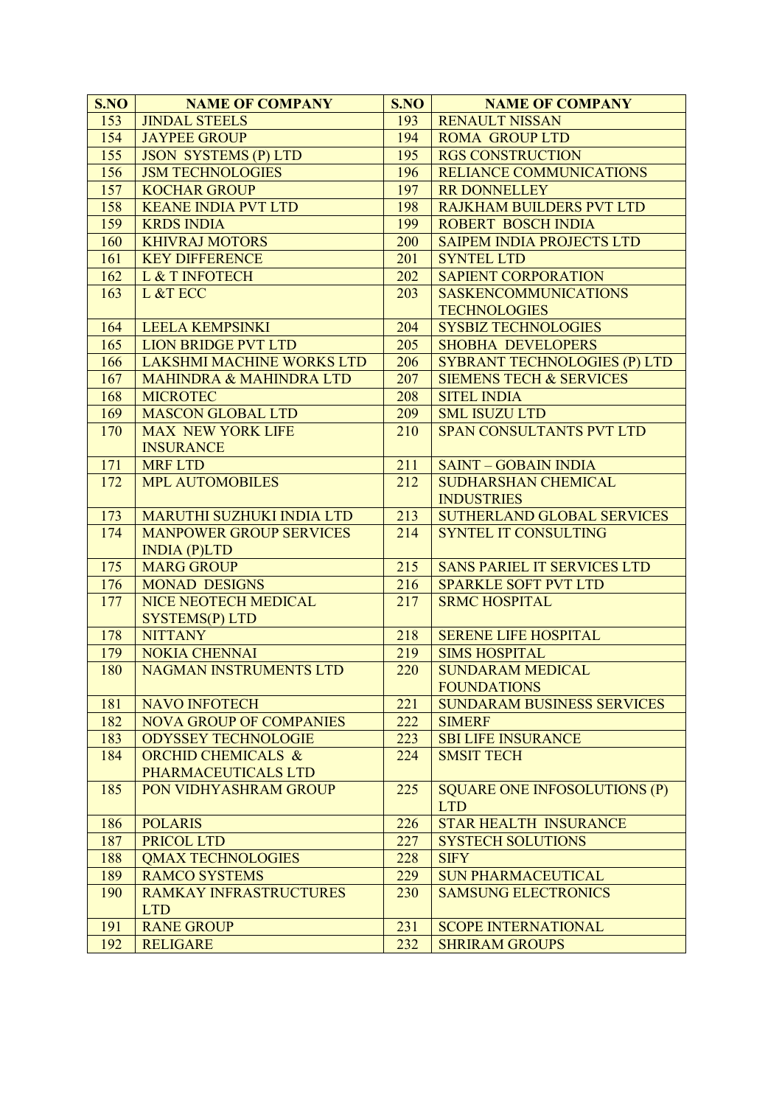| S.NO | <b>NAME OF COMPANY</b>             | S.NO             | <b>NAME OF COMPANY</b>              |
|------|------------------------------------|------------------|-------------------------------------|
| 153  | <b>JINDAL STEELS</b>               | 193              | <b>RENAULT NISSAN</b>               |
| 154  | <b>JAYPEE GROUP</b>                | 194              | <b>ROMA GROUP LTD</b>               |
| 155  | <b>JSON SYSTEMS (P) LTD</b>        | 195              | <b>RGS CONSTRUCTION</b>             |
| 156  | <b>JSM TECHNOLOGIES</b>            | 196              | RELIANCE COMMUNICATIONS             |
| 157  | <b>KOCHAR GROUP</b>                | 197              | <b>RR DONNELLEY</b>                 |
| 158  | <b>KEANE INDIA PVT LTD</b>         | 198              | <b>RAJKHAM BUILDERS PVT LTD</b>     |
| 159  | <b>KRDS INDIA</b>                  | 199              | <b>ROBERT BOSCH INDIA</b>           |
| 160  | <b>KHIVRAJ MOTORS</b>              | 200              | <b>SAIPEM INDIA PROJECTS LTD</b>    |
| 161  | <b>KEY DIFFERENCE</b>              | 201              | <b>SYNTEL LTD</b>                   |
| 162  | L & T INFOTECH                     | 202              | <b>SAPIENT CORPORATION</b>          |
| 163  | L &T ECC                           | 203              | <b>SASKENCOMMUNICATIONS</b>         |
|      |                                    |                  | <b>TECHNOLOGIES</b>                 |
| 164  | <b>LEELA KEMPSINKI</b>             | 204              | <b>SYSBIZ TECHNOLOGIES</b>          |
| 165  | <b>LION BRIDGE PVT LTD</b>         | 205              | <b>SHOBHA DEVELOPERS</b>            |
| 166  | LAKSHMI MACHINE WORKS LTD          | 206              | <b>SYBRANT TECHNOLOGIES (P) LTD</b> |
| 167  | <b>MAHINDRA &amp; MAHINDRA LTD</b> | 207              | <b>SIEMENS TECH &amp; SERVICES</b>  |
| 168  | <b>MICROTEC</b>                    | 208              | <b>SITEL INDIA</b>                  |
| 169  | <b>MASCON GLOBAL LTD</b>           | 209              | <b>SML ISUZU LTD</b>                |
| 170  | <b>MAX NEW YORK LIFE</b>           | 210              | <b>SPAN CONSULTANTS PVT LTD</b>     |
|      | <b>INSURANCE</b>                   |                  |                                     |
| 171  | <b>MRF LTD</b>                     | 211              | <b>SAINT - GOBAIN INDIA</b>         |
| 172  | <b>MPL AUTOMOBILES</b>             | 212              | <b>SUDHARSHAN CHEMICAL</b>          |
|      |                                    |                  | <b>INDUSTRIES</b>                   |
| 173  | MARUTHI SUZHUKI INDIA LTD          | 213              | SUTHERLAND GLOBAL SERVICES          |
| 174  | <b>MANPOWER GROUP SERVICES</b>     | 214              | <b>SYNTEL IT CONSULTING</b>         |
|      | INDIA(P)LTD                        |                  |                                     |
| 175  | <b>MARG GROUP</b>                  | 215              | <b>SANS PARIEL IT SERVICES LTD</b>  |
| 176  | <b>MONAD DESIGNS</b>               | 216              | <b>SPARKLE SOFT PVT LTD</b>         |
| 177  | NICE NEOTECH MEDICAL               | 217              | <b>SRMC HOSPITAL</b>                |
|      | SYSTEMS(P) LTD                     |                  |                                     |
| 178  | <b>NITTANY</b>                     | 218              | <b>SERENE LIFE HOSPITAL</b>         |
| 179  | <b>NOKIA CHENNAI</b>               | $\overline{219}$ | <b>SIMS HOSPITAL</b>                |
| 180  | NAGMAN INSTRUMENTS LTD             | 220              | <b>SUNDARAM MEDICAL</b>             |
|      |                                    |                  | <b>FOUNDATIONS</b>                  |
| 181  | <b>NAVO INFOTECH</b>               | 221              | <b>SUNDARAM BUSINESS SERVICES</b>   |
| 182  | <b>NOVA GROUP OF COMPANIES</b>     | 222              | <b>SIMERF</b>                       |
| 183  | <b>ODYSSEY TECHNOLOGIE</b>         | 223              | <b>SBI LIFE INSURANCE</b>           |
| 184  | <b>ORCHID CHEMICALS &amp;</b>      | 224              | <b>SMSIT TECH</b>                   |
|      | PHARMACEUTICALS LTD                |                  |                                     |
| 185  | PON VIDHYASHRAM GROUP              | 225              | <b>SQUARE ONE INFOSOLUTIONS (P)</b> |
|      |                                    |                  | <b>LTD</b>                          |
| 186  | <b>POLARIS</b>                     | 226              | <b>STAR HEALTH INSURANCE</b>        |
| 187  | PRICOL LTD                         | 227              | <b>SYSTECH SOLUTIONS</b>            |
| 188  | <b>OMAX TECHNOLOGIES</b>           | 228              | <b>SIFY</b>                         |
| 189  | <b>RAMCO SYSTEMS</b>               | 229              | <b>SUN PHARMACEUTICAL</b>           |
| 190  | <b>RAMKAY INFRASTRUCTURES</b>      | 230              | <b>SAMSUNG ELECTRONICS</b>          |
|      | <b>LTD</b>                         |                  |                                     |
| 191  | <b>RANE GROUP</b>                  | 231              | <b>SCOPE INTERNATIONAL</b>          |
| 192  | <b>RELIGARE</b>                    | 232              | <b>SHRIRAM GROUPS</b>               |